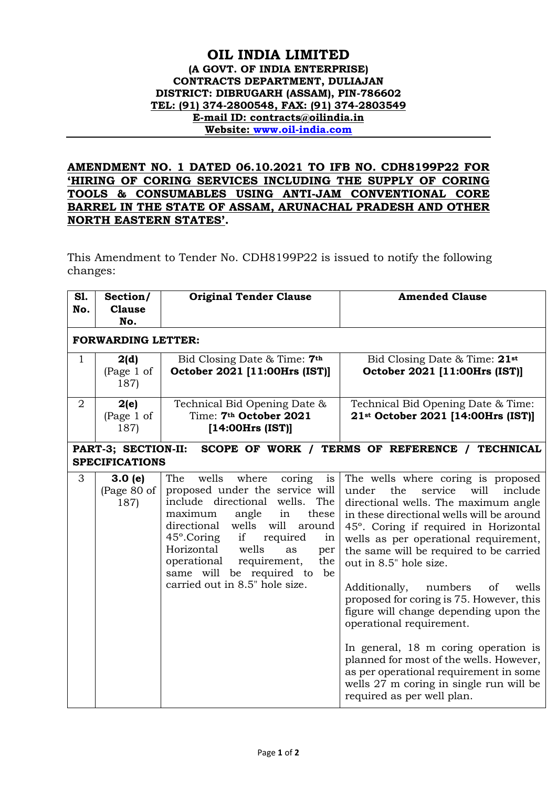## **OIL INDIA LIMITED (A GOVT. OF INDIA ENTERPRISE) CONTRACTS DEPARTMENT, DULIAJAN DISTRICT: DIBRUGARH (ASSAM), PIN-786602 TEL: (91) 374-2800548, FAX: (91) 374-2803549 E-mail ID: contracts@oilindia.in Website: [www.oil-india.com](http://www.oil-india.com/)**

## **AMENDMENT NO. 1 DATED 06.10.2021 TO IFB NO. CDH8199P22 FOR 'HIRING OF CORING SERVICES INCLUDING THE SUPPLY OF CORING TOOLS & CONSUMABLES USING ANTI-JAM CONVENTIONAL CORE BARREL IN THE STATE OF ASSAM, ARUNACHAL PRADESH AND OTHER NORTH EASTERN STATES'.**

This Amendment to Tender No. CDH8199P22 is issued to notify the following changes:

| S1.<br>No.                                                                                     | Section/<br><b>Clause</b><br>No. | <b>Original Tender Clause</b>                                                                                                                                                                                                                                                                                                                                               | <b>Amended Clause</b>                                                                                                                                                                                                                                                                                                                                                                                                                                                                                                                                                                                                                                                                          |  |  |  |  |
|------------------------------------------------------------------------------------------------|----------------------------------|-----------------------------------------------------------------------------------------------------------------------------------------------------------------------------------------------------------------------------------------------------------------------------------------------------------------------------------------------------------------------------|------------------------------------------------------------------------------------------------------------------------------------------------------------------------------------------------------------------------------------------------------------------------------------------------------------------------------------------------------------------------------------------------------------------------------------------------------------------------------------------------------------------------------------------------------------------------------------------------------------------------------------------------------------------------------------------------|--|--|--|--|
|                                                                                                | <b>FORWARDING LETTER:</b>        |                                                                                                                                                                                                                                                                                                                                                                             |                                                                                                                                                                                                                                                                                                                                                                                                                                                                                                                                                                                                                                                                                                |  |  |  |  |
| $\mathbf{1}$                                                                                   | 2(d)<br>(Page 1 of<br>187)       | Bid Closing Date & Time: 7th<br>October 2021 [11:00Hrs (IST)]                                                                                                                                                                                                                                                                                                               | Bid Closing Date & Time: 21st<br>October 2021 [11:00Hrs (IST)]                                                                                                                                                                                                                                                                                                                                                                                                                                                                                                                                                                                                                                 |  |  |  |  |
| $\overline{2}$                                                                                 | 2(e)<br>(Page 1 of<br>187)       | Technical Bid Opening Date &<br>Time: 7 <sup>th</sup> October 2021<br>[14:00Hrs (IST)]                                                                                                                                                                                                                                                                                      | Technical Bid Opening Date & Time:<br>21st October 2021 [14:00Hrs (IST)]                                                                                                                                                                                                                                                                                                                                                                                                                                                                                                                                                                                                                       |  |  |  |  |
| PART-3; SECTION-II:<br>SCOPE OF WORK / TERMS OF REFERENCE / TECHNICAL<br><b>SPECIFICATIONS</b> |                                  |                                                                                                                                                                                                                                                                                                                                                                             |                                                                                                                                                                                                                                                                                                                                                                                                                                                                                                                                                                                                                                                                                                |  |  |  |  |
| 3                                                                                              | 3.0(e)<br>(Page 80 of<br>187)    | wells<br>The<br>where<br>coring<br>is<br>proposed under the service will<br>include directional wells.<br>The<br>maximum<br>angle<br>in<br>these<br>directional<br>wells will<br>around<br>45°.Coring<br>if<br>required<br>in<br>Horizontal<br>wells<br>as<br>per<br>operational<br>requirement,<br>the<br>same will be required to<br>be<br>carried out in 8.5" hole size. | The wells where coring is proposed<br>the<br>service<br>will<br>include<br>under<br>directional wells. The maximum angle<br>in these directional wells will be around<br>45°. Coring if required in Horizontal<br>wells as per operational requirement,<br>the same will be required to be carried<br>out in 8.5" hole size.<br>numbers<br>wells<br>Additionally,<br>of<br>proposed for coring is 75. However, this<br>figure will change depending upon the<br>operational requirement.<br>In general, 18 m coring operation is<br>planned for most of the wells. However,<br>as per operational requirement in some<br>wells 27 m coring in single run will be<br>required as per well plan. |  |  |  |  |